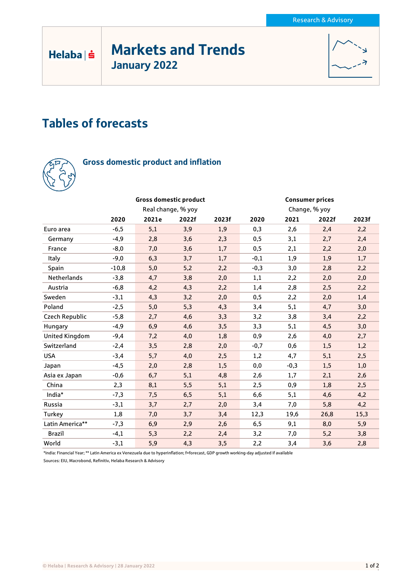# Markets and Trends January 2022



# Tables of forecasts



 $Helaba| \dot{\mathbf{s}}$ 

## Gross domestic product and inflation

|                       | <b>Gross domestic product</b> |       |       |       | <b>Consumer prices</b> |        |       |       |
|-----------------------|-------------------------------|-------|-------|-------|------------------------|--------|-------|-------|
|                       | Real change, % yoy            |       |       |       | Change, % yoy          |        |       |       |
|                       | 2020                          | 2021e | 2022f | 2023f | 2020                   | 2021   | 2022f | 2023f |
| Euro area             | $-6,5$                        | 5,1   | 3,9   | 1,9   | 0,3                    | 2,6    | 2,4   | 2,2   |
| Germany               | -4,9                          | 2,8   | 3,6   | 2,3   | 0,5                    | 3,1    | 2,7   | 2,4   |
| France                | $-8,0$                        | 7,0   | 3,6   | 1,7   | 0,5                    | 2,1    | 2,2   | 2,0   |
| Italy                 | $-9,0$                        | 6,3   | 3,7   | 1,7   | $-0,1$                 | 1,9    | 1,9   | 1,7   |
| Spain                 | $-10,8$                       | 5,0   | 5,2   | 2,2   | $-0,3$                 | 3,0    | 2,8   | 2,2   |
| <b>Netherlands</b>    | $-3,8$                        | 4,7   | 3,8   | 2,0   | 1,1                    | 2,2    | 2,0   | 2,0   |
| Austria               | $-6,8$                        | 4,2   | 4,3   | 2,2   | 1,4                    | 2,8    | 2,5   | 2,2   |
| Sweden                | $-3,1$                        | 4,3   | 3,2   | 2,0   | 0,5                    | 2,2    | 2,0   | 1,4   |
| Poland                | $-2,5$                        | 5,0   | 5,3   | 4,3   | 3,4                    | 5,1    | 4,7   | 3,0   |
| Czech Republic        | $-5,8$                        | 2,7   | 4,6   | 3,3   | 3,2                    | 3,8    | 3,4   | 2,2   |
| Hungary               | $-4,9$                        | 6,9   | 4,6   | 3,5   | 3,3                    | 5,1    | 4,5   | 3,0   |
| <b>United Kingdom</b> | $-9,4$                        | 7,2   | 4,0   | 1,8   | 0,9                    | 2,6    | 4,0   | 2,7   |
| Switzerland           | $-2,4$                        | 3,5   | 2,8   | 2,0   | $-0,7$                 | 0,6    | 1,5   | 1,2   |
| <b>USA</b>            | $-3,4$                        | 5,7   | 4,0   | 2,5   | 1,2                    | 4,7    | 5,1   | 2,5   |
| Japan                 | $-4,5$                        | 2,0   | 2,8   | 1,5   | 0,0                    | $-0,3$ | 1,5   | 1,0   |
| Asia ex Japan         | $-0,6$                        | 6,7   | 5,1   | 4,8   | 2,6                    | 1,7    | 2,1   | 2,6   |
| China                 | 2,3                           | 8,1   | 5,5   | 5,1   | 2,5                    | 0,9    | 1,8   | 2,5   |
| India*                | $-7,3$                        | 7,5   | 6,5   | 5,1   | 6,6                    | 5,1    | 4,6   | 4,2   |
| Russia                | $-3,1$                        | 3,7   | 2,7   | 2,0   | 3,4                    | 7,0    | 5,8   | 4,2   |
| Turkey                | 1,8                           | 7,0   | 3,7   | 3,4   | 12,3                   | 19,6   | 26,8  | 15,3  |
| Latin America**       | $-7,3$                        | 6,9   | 2,9   | 2,6   | 6,5                    | 9,1    | 8,0   | 5,9   |
| <b>Brazil</b>         | $-4,1$                        | 5,3   | 2,2   | 2,4   | 3,2                    | 7,0    | 5,2   | 3,8   |
| World                 | $-3,1$                        | 5,9   | 4,3   | 3,5   | 2,2                    | 3,4    | 3,6   | 2,8   |

\*India: Financial Year; \*\* Latin America ex Venezuela due to hyperinflation; f=forecast, GDP growth working-day adjusted if available Sources: EIU, Macrobond, Refinitiv, Helaba Research & Advisory